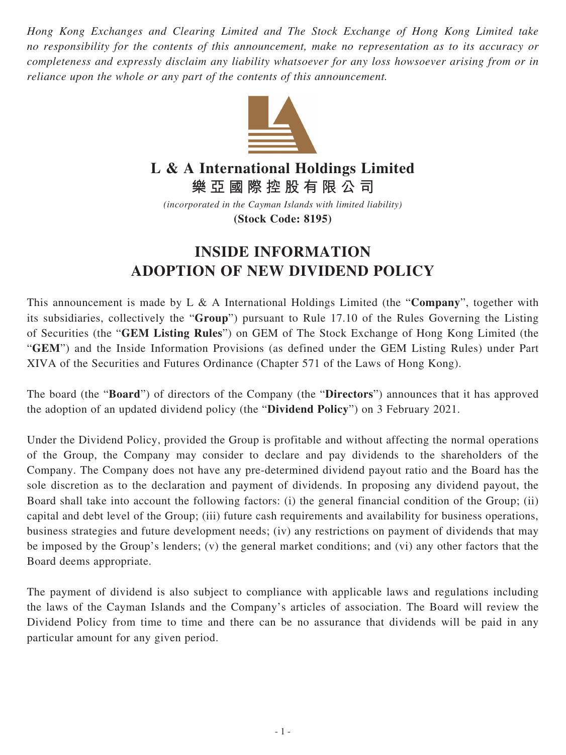*Hong Kong Exchanges and Clearing Limited and The Stock Exchange of Hong Kong Limited take no responsibility for the contents of this announcement, make no representation as to its accuracy or completeness and expressly disclaim any liability whatsoever for any loss howsoever arising from or in reliance upon the whole or any part of the contents of this announcement.*



## **L & A International Holdings Limited**

**樂亞國際控股有限公司**

*(incorporated in the Cayman Islands with limited liability)* **(Stock Code: 8195)**

## **INSIDE INFORMATION ADOPTION OF NEW DIVIDEND POLICY**

This announcement is made by L & A International Holdings Limited (the "**Company**", together with its subsidiaries, collectively the "**Group**") pursuant to Rule 17.10 of the Rules Governing the Listing of Securities (the "**GEM Listing Rules**") on GEM of The Stock Exchange of Hong Kong Limited (the "**GEM**") and the Inside Information Provisions (as defined under the GEM Listing Rules) under Part XIVA of the Securities and Futures Ordinance (Chapter 571 of the Laws of Hong Kong).

The board (the "**Board**") of directors of the Company (the "**Directors**") announces that it has approved the adoption of an updated dividend policy (the "**Dividend Policy**") on 3 February 2021.

Under the Dividend Policy, provided the Group is profitable and without affecting the normal operations of the Group, the Company may consider to declare and pay dividends to the shareholders of the Company. The Company does not have any pre-determined dividend payout ratio and the Board has the sole discretion as to the declaration and payment of dividends. In proposing any dividend payout, the Board shall take into account the following factors: (i) the general financial condition of the Group; (ii) capital and debt level of the Group; (iii) future cash requirements and availability for business operations, business strategies and future development needs; (iv) any restrictions on payment of dividends that may be imposed by the Group's lenders; (v) the general market conditions; and (vi) any other factors that the Board deems appropriate.

The payment of dividend is also subject to compliance with applicable laws and regulations including the laws of the Cayman Islands and the Company's articles of association. The Board will review the Dividend Policy from time to time and there can be no assurance that dividends will be paid in any particular amount for any given period.